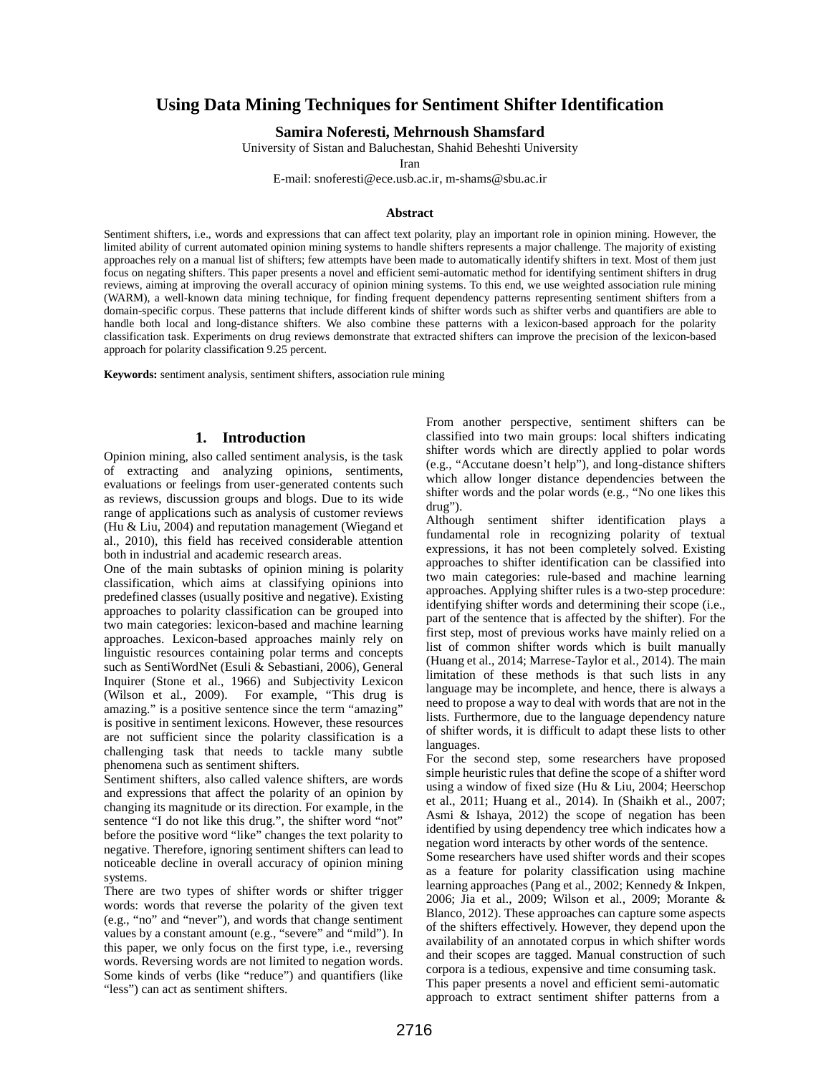# **Using Data Mining Techniques for Sentiment Shifter Identification**

#### **Samira Noferesti, Mehrnoush Shamsfard**

University of Sistan and Baluchestan, Shahid Beheshti University

Iran

E-mail: snoferesti@ece.usb.ac.ir, m-shams@sbu.ac.ir

#### **Abstract**

Sentiment shifters, i.e., words and expressions that can affect text polarity, play an important role in opinion mining. However, the limited ability of current automated opinion mining systems to handle shifters represents a major challenge. The majority of existing approaches rely on a manual list of shifters; few attempts have been made to automatically identify shifters in text. Most of them just focus on negating shifters. This paper presents a novel and efficient semi-automatic method for identifying sentiment shifters in drug reviews, aiming at improving the overall accuracy of opinion mining systems. To this end, we use weighted association rule mining (WARM), a well-known data mining technique, for finding frequent dependency patterns representing sentiment shifters from a domain-specific corpus. These patterns that include different kinds of shifter words such as shifter verbs and quantifiers are able to handle both local and long-distance shifters. We also combine these patterns with a lexicon-based approach for the polarity classification task. Experiments on drug reviews demonstrate that extracted shifters can improve the precision of the lexicon-based approach for polarity classification 9.25 percent.

**Keywords:** sentiment analysis, sentiment shifters, association rule mining

#### **1. Introduction**

Opinion mining, also called sentiment analysis, is the task of extracting and analyzing opinions, sentiments, evaluations or feelings from user-generated contents such as reviews, discussion groups and blogs. Due to its wide range of applications such as analysis of customer reviews (Hu & Liu, 2004) and reputation management (Wiegand et al., 2010), this field has received considerable attention both in industrial and academic research areas.

One of the main subtasks of opinion mining is polarity classification, which aims at classifying opinions into predefined classes (usually positive and negative). Existing approaches to polarity classification can be grouped into two main categories: lexicon-based and machine learning approaches. Lexicon-based approaches mainly rely on linguistic resources containing polar terms and concepts such as SentiWordNet (Esuli & Sebastiani, 2006), General Inquirer (Stone et al., 1966) and Subjectivity Lexicon (Wilson et al., 2009). For example, "This drug is amazing." is a positive sentence since the term "amazing" is positive in sentiment lexicons. However, these resources are not sufficient since the polarity classification is a challenging task that needs to tackle many subtle phenomena such as sentiment shifters.

Sentiment shifters, also called valence shifters, are words and expressions that affect the polarity of an opinion by changing its magnitude or its direction. For example, in the sentence "I do not like this drug.", the shifter word "not" before the positive word "like" changes the text polarity to negative. Therefore, ignoring sentiment shifters can lead to noticeable decline in overall accuracy of opinion mining systems.

There are two types of shifter words or shifter trigger words: words that reverse the polarity of the given text (e.g., "no" and "never"), and words that change sentiment values by a constant amount (e.g., "severe" and "mild"). In this paper, we only focus on the first type, i.e., reversing words. Reversing words are not limited to negation words. Some kinds of verbs (like "reduce") and quantifiers (like "less") can act as sentiment shifters.

From another perspective, sentiment shifters can be classified into two main groups: local shifters indicating shifter words which are directly applied to polar words (e.g., "Accutane doesn't help"), and long-distance shifters which allow longer distance dependencies between the shifter words and the polar words (e.g., "No one likes this drug").

Although sentiment shifter identification plays a fundamental role in recognizing polarity of textual expressions, it has not been completely solved. Existing approaches to shifter identification can be classified into two main categories: rule-based and machine learning approaches. Applying shifter rules is a two-step procedure: identifying shifter words and determining their scope (i.e., part of the sentence that is affected by the shifter). For the first step, most of previous works have mainly relied on a list of common shifter words which is built manually (Huang et al., 2014; Marrese-Taylor et al., 2014). The main limitation of these methods is that such lists in any language may be incomplete, and hence, there is always a need to propose a way to deal with words that are not in the lists. Furthermore, due to the language dependency nature of shifter words, it is difficult to adapt these lists to other languages.

For the second step, some researchers have proposed simple heuristic rules that define the scope of a shifter word using a window of fixed size (Hu & Liu, 2004; Heerschop et al., 2011; Huang et al., 2014). In (Shaikh et al., 2007; Asmi & Ishaya, 2012) the scope of negation has been identified by using dependency tree which indicates how a negation word interacts by other words of the sentence.

Some researchers have used shifter words and their scopes as a feature for polarity classification using machine learning approaches (Pang et al., 2002; Kennedy & Inkpen, 2006; Jia et al., 2009; Wilson et al., 2009; Morante & Blanco, 2012). These approaches can capture some aspects of the shifters effectively. However, they depend upon the availability of an annotated corpus in which shifter words and their scopes are tagged. Manual construction of such corpora is a tedious, expensive and time consuming task. This paper presents a novel and efficient semi-automatic

approach to extract sentiment shifter patterns from a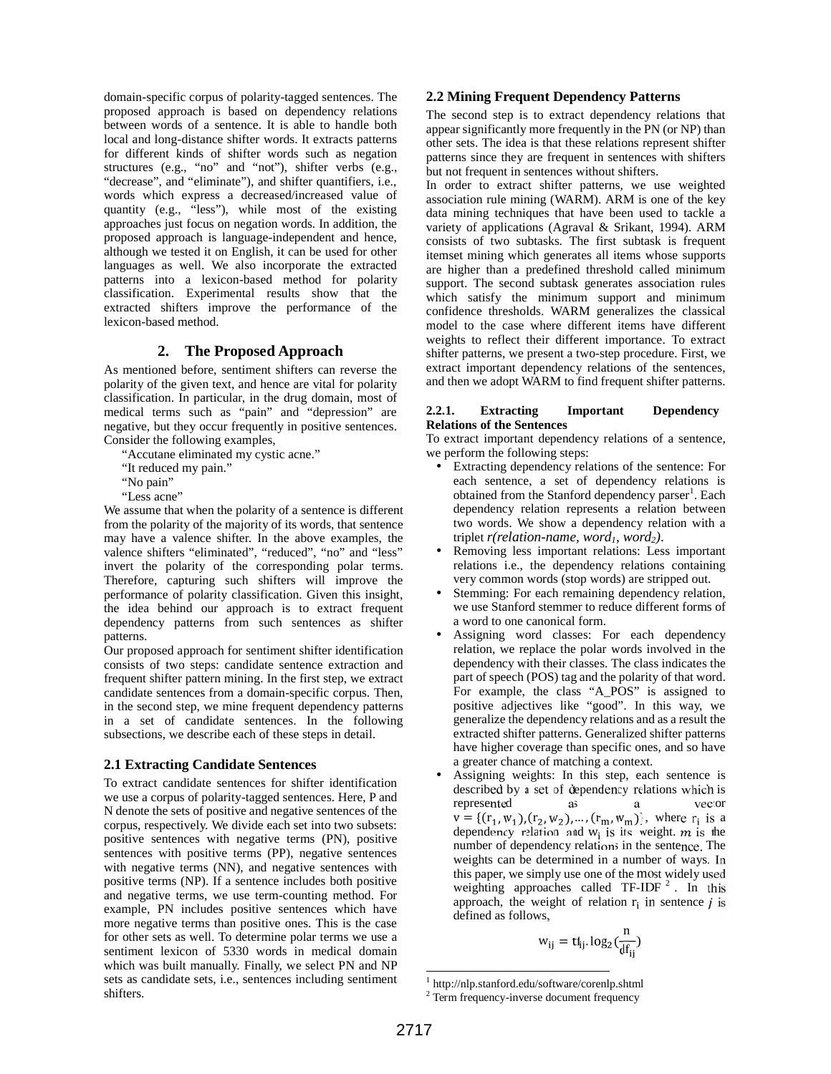domain-specific corpus of polarity-tagged sentences. The proposed approach is based on dependency relations between words of a sentence. It is able to handle both local and long-distance shifter words. It extracts patterns for different kinds of shifter words such as negation structures (e.g., "no" and "not"), shifter verbs (e.g., "decrease", and "eliminate"), and shifter quantifiers, i.e., words which express a decreased/increased value of quantity (e.g., "less"), while most of the existing approaches just focus on negation words. In addition, the proposed approach is language-independent and hence, although we tested it on English, it can be used for other languages as well. We also incorporate the extracted patterns into a lexicon-based method for polarity classification. Experimental results show that the extracted shifters improve the performance of the lexicon-based method.

## **2. The Proposed Approach**

As mentioned before, sentiment shifters can reverse the polarity of the given text, and hence are vital for polarity classification. In particular, in the drug domain, most of medical terms such as "pain" and "depression" are  $2.2.1$ . medical terms such as "pain" and "depression" are negative, but they occur frequently in positive sentences. Consider the following examples,

"Accutane eliminated my cystic acne."

"It reduced my pain."

"No pain"

"Less acne"

We assume that when the polarity of a sentence is different from the polarity of the majority of its words, that sentence may have a valence shifter. In the above examples, the valence shifters "eliminated", "reduced", "no" and "less" invert the polarity of the corresponding polar terms. Therefore, capturing such shifters will improve the performance of polarity classification. Given this insight, the idea behind our approach is to extract frequent dependency patterns from such sentences as shifter patterns.

Our proposed approach for sentiment shifter identification consists of two steps: candidate sentence extraction and frequent shifter pattern mining. In the first step, we extract candidate sentences from a domain-specific corpus. Then, in the second step, we mine frequent dependency patterns in a set of candidate sentences. In the following subsections, we describe each of these steps in detail.

### **2.1 Extracting Candidate Sentences**

To extract candidate sentences for shifter identification we use a corpus of polarity-tagged sentences. Here, P and N denote the sets of positive and negative sentences of the corpus, respectively. We divide each set into two subsets: positive sentences with negative terms (PN), positive sentences with positive terms (PP), negative sentences with negative terms (NN), and negative sentences with positive terms (NP). If a sentence includes both positive and negative terms, we use term-counting method. For example, PN includes positive sentences which have more negative terms than positive ones. This is the case for other sets as well. To determine polar terms we use a sentiment lexicon of 5330 words in medical domain which was built manually. Finally, we select PN and NP sets as candidate sets, i.e., sentences including sentiment shifters.

## **2.2 Mining Frequent Dependency Patterns**

The second step is to extract dependency relations that appear significantly more frequently in the PN (or NP) than other sets. The idea is that these relations represent shifter patterns since they are frequent in sentences with shifters but not frequent in sentences without shifters.

In order to extract shifter patterns, we use weighted association rule mining (WARM). ARM is one of the key data mining techniques that have been used to tackle a variety of applications (Agraval & Srikant, 1994). ARM consists of two subtasks. The first subtask is frequent itemset mining which generates all items whose supports are higher than a predefined threshold called minimum support. The second subtask generates association rules which satisfy the minimum support and minimum confidence thresholds. WARM generalizes the classical model to the case where different items have different weights to reflect their different importance. To extract shifter patterns, we present a two-step procedure. First, we extract important dependency relations of the sentences, and then we adopt WARM to find frequent shifter patterns.

#### **2.2.1. Extracting Important Dependency Relations of the Sentences**

To extract important dependency relations of a sentence, we perform the following steps:

- Extracting dependency relations of the sentence: For each sentence, a set of dependency relations is obtained from the Stanford dependency parser<sup>1</sup>. Each dependency relation represents a relation between two words. We show a dependency relation with a triplet  $r(\text{relation-name}, \text{word}_1, \text{word}_2)$ .
- Removing less important relations: Less important relations i.e., the dependency relations containing very common words (stop words) are stripped out.
- Stemming: For each remaining dependency relation, we use Stanford stemmer to reduce different forms of a word to one canonical form.
- Assigning word classes: For each dependency relation, we replace the polar words involved in the dependency with their classes. The class indicates the part of speech (POS) tag and the polarity of that word. For example, the class "A\_POS" is assigned to positive adjectives like "good". In this way, we generalize the dependency relations and as a result the extracted shifter patterns. Generalized shifter patterns have higher coverage than specific ones, and so have a greater chance of matching a context.
- Assigning weights: In this step, each sentence is described by a set of dependency relations which is<br>represented as a vector represented as a vector as a vector and a vector and a vector and a vector and a vector and a vector and a vector and a vector and a vector and a vector and a vector and a vector and a vector and a vector and a vector and  $v = \{(r_1, w_1), (r_2, w_2), \dots, (r_m, w_m)\}\,$ , where  $r_i$  is a dependency relation and  $w_i$  is its weight. m is the number of dependency relations in the sentence. The weights can be determined in a number of ways. In this paper, we simply use one of the most widely used weighting approaches called TF-IDF  $^2$ . In this approach, the weight of relation  $r_i$  in sentence *i* is defined as follows,

$$
w_{ij} = tf_{ij}.log_2(\frac{n}{df_{ij}})
$$

<sup>1</sup> http://nlp.stanford.edu/software/corenlp.shtml

<sup>&</sup>lt;sup>2</sup> Term frequency-inverse document frequency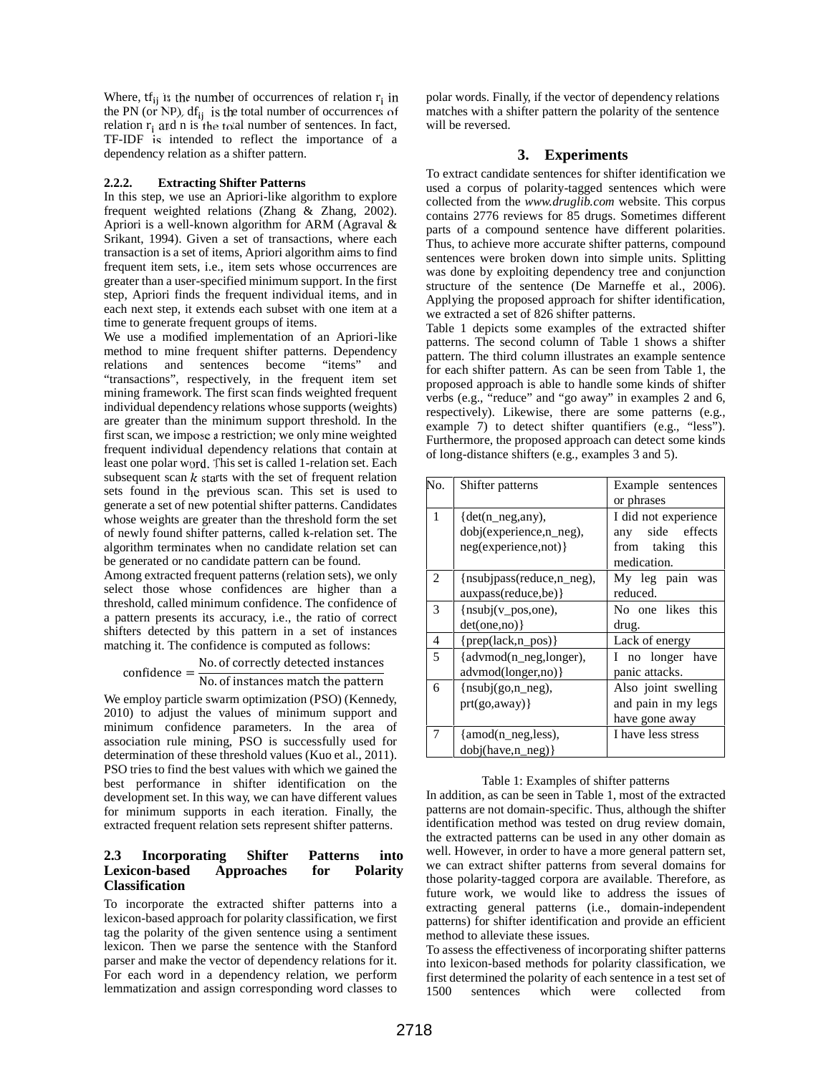Where,  $tf_{ij}$  is the number of occurrences of relation  $r_i$  in the PN (or NP),  $df_{ij}$  is the total number of occurrences of relation  $r_i$  and n is the total number of sentences. In fact, TF-IDF is intended to reflect the importance of a dependency relation as a shifter pattern.

#### **2.2.2. Extracting Shifter Patterns**

In this step, we use an Apriori-like algorithm to explore frequent weighted relations (Zhang & Zhang, 2002). Apriori is a well-known algorithm for ARM (Agraval & Srikant, 1994). Given a set of transactions, where each transaction is a set of items, Apriori algorithm aims to find frequent item sets, i.e., item sets whose occurrences are greater than a user-specified minimum support. In the first step, Apriori finds the frequent individual items, and in each next step, it extends each subset with one item at a time to generate frequent groups of items.

We use a modified implementation of an Apriori-like method to mine frequent shifter patterns. Dependency relations and sentences become "items" and "transactions", respectively, in the frequent item set mining framework. The first scan finds weighted frequent individual dependency relations whose supports (weights) are greater than the minimum support threshold. In the first scan, we impose a restriction; we only mine weighted frequent individual dependency relations that contain at least one polar word. This set is called 1-relation set. Each subsequent scan  $k$  starts with the set of frequent relation sets found in the previous scan. This set is used to generate a set of new potential shifter patterns. Candidates whose weights are greater than the threshold form the set of newly found shifter patterns, called k-relation set. The algorithm terminates when no candidate relation set can be generated or no candidate pattern can be found.

Among extracted frequent patterns (relation sets), we only select those whose confidences are higher than a threshold, called minimum confidence. The confidence of a pattern presents its accuracy, i.e., the ratio of correct shifters detected by this pattern in a set of instances matching it. The confidence is computed as follows:

 $\text{confidence} = \frac{\text{No. of correctly detected instances}}{\text{No. of instances match the pattern}}$ No. of instances match the pattern  $\overline{6}$ 

We employ particle swarm optimization (PSO) (Kennedy, 2010) to adjust the values of minimum support and minimum confidence parameters. In the area of association rule mining, PSO is successfully used for determination of these threshold values (Kuo et al., 2011). PSO tries to find the best values with which we gained the best performance in shifter identification on the development set. In this way, we can have different values for minimum supports in each iteration. Finally, the extracted frequent relation sets represent shifter patterns.

## **2.3 Incorporating Shifter Patterns into Lexicon-based Approaches for Polarity Classification**

To incorporate the extracted shifter patterns into a lexicon-based approach for polarity classification, we first tag the polarity of the given sentence using a sentiment lexicon. Then we parse the sentence with the Stanford parser and make the vector of dependency relations for it. For each word in a dependency relation, we perform lemmatization and assign corresponding word classes to

polar words. Finally, if the vector of dependency relations matches with a shifter pattern the polarity of the sentence will be reversed.

## **3. Experiments**

To extract candidate sentences for shifter identification we used a corpus of polarity-tagged sentences which were collected from the *www.druglib.com* website. This corpus contains 2776 reviews for 85 drugs. Sometimes different parts of a compound sentence have different polarities. Thus, to achieve more accurate shifter patterns, compound sentences were broken down into simple units. Splitting was done by exploiting dependency tree and conjunction structure of the sentence (De Marneffe et al., 2006). Applying the proposed approach for shifter identification, we extracted a set of 826 shifter patterns.

Table 1 depicts some examples of the extracted shifter patterns. The second column of Table 1 shows a shifter pattern. The third column illustrates an example sentence for each shifter pattern. As can be seen from Table 1, the proposed approach is able to handle some kinds of shifter verbs (e.g., "reduce" and "go away" in examples 2 and 6, respectively). Likewise, there are some patterns (e.g., example 7) to detect shifter quantifiers (e.g., "less"). Furthermore, the proposed approach can detect some kinds of long-distance shifters (e.g., examples 3 and 5).

| No. | Shifter patterns                                                                  | Example sentences<br>or phrases                                                   |
|-----|-----------------------------------------------------------------------------------|-----------------------------------------------------------------------------------|
| 1   | $\det(n \text{ neg, any})$ ,<br>dobj(experience, n_neg),<br>neg(experience,not) } | I did not experience<br>side effects<br>any<br>from taking<br>this<br>medication. |
| 2   | {nsubjpass(reduce,n_neg),<br>auxpass(reduce,be) }                                 | My leg pain was<br>reduced.                                                       |
| 3   | ${\binom{m}{x}}$ pos, one),<br>det(one,no)                                        | No one likes this<br>drug.                                                        |
| 4   | $\{prep(lack,n_pos)\}$                                                            | Lack of energy                                                                    |
| 5   | {advmod(n_neg,longer),<br>advmod(longer,no) }                                     | I no longer have<br>panic attacks.                                                |
| 6   | ${\nvert nsubj(go,n_neg),\nvert neg}$<br>prt(go, away)                            | Also joint swelling<br>and pain in my legs<br>have gone away                      |
| 7   | {amod(n_neg,less),<br>dobj(have, n neg)                                           | I have less stress                                                                |

#### Table 1: Examples of shifter patterns

In addition, as can be seen in Table 1, most of the extracted patterns are not domain-specific. Thus, although the shifter identification method was tested on drug review domain, the extracted patterns can be used in any other domain as well. However, in order to have a more general pattern set, we can extract shifter patterns from several domains for those polarity-tagged corpora are available. Therefore, as future work, we would like to address the issues of extracting general patterns (i.e., domain-independent patterns) for shifter identification and provide an efficient method to alleviate these issues.

To assess the effectiveness of incorporating shifter patterns into lexicon-based methods for polarity classification, we first determined the polarity of each sentence in a test set of<br>1500 sentences which were collected from sentences which were collected from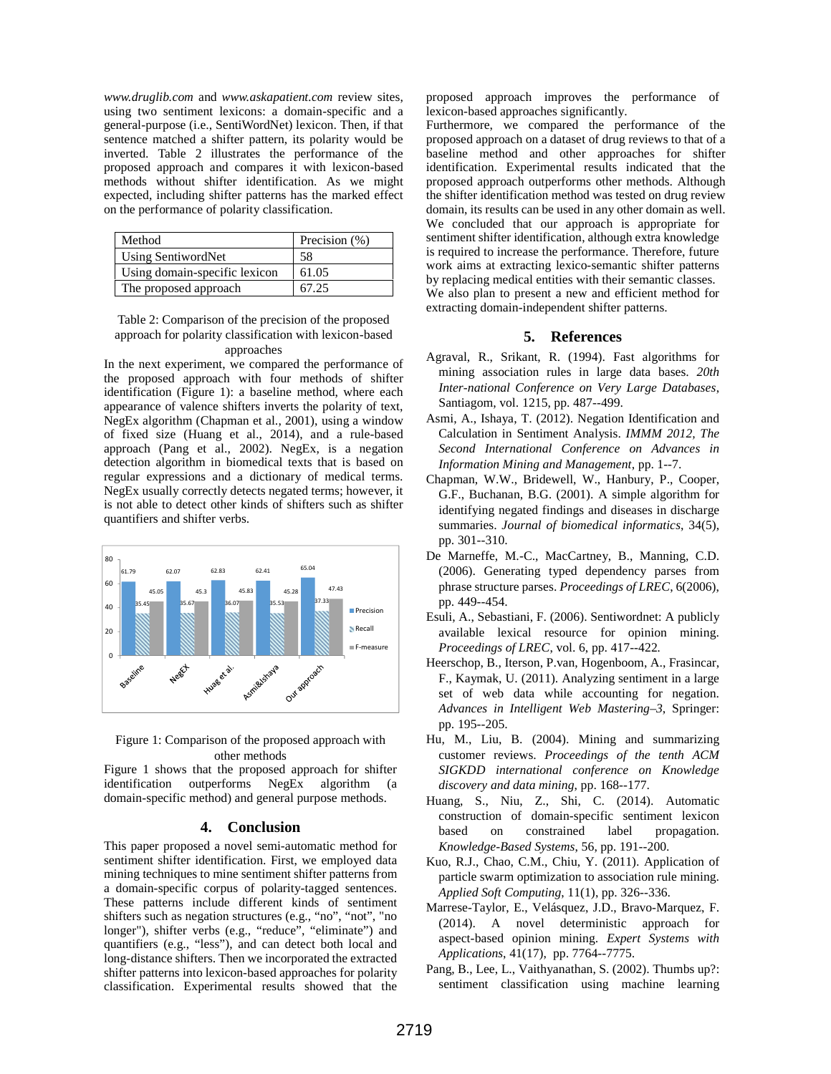*www.druglib.com* and *www.askapatient.com* review sites, using two sentiment lexicons: a domain-specific and a general-purpose (i.e., SentiWordNet) lexicon. Then, if that sentence matched a shifter pattern, its polarity would be inverted. Table 2 illustrates the performance of the proposed approach and compares it with lexicon-based methods without shifter identification. As we might expected, including shifter patterns has the marked effect on the performance of polarity classification.

| Method                        | Precision $(\% )$ |
|-------------------------------|-------------------|
| Using SentiwordNet            | 58                |
| Using domain-specific lexicon | 61.05             |
| The proposed approach         | 67.25             |

Table 2: Comparison of the precision of the proposed approach for polarity classification with lexicon-based approaches

In the next experiment, we compared the performance of the proposed approach with four methods of shifter identification (Figure 1): a baseline method, where each appearance of valence shifters inverts the polarity of text, NegEx algorithm (Chapman et al., 2001), using a window of fixed size (Huang et al., 2014), and a rule-based approach (Pang et al., 2002). NegEx, is a negation detection algorithm in biomedical texts that is based on regular expressions and a dictionary of medical terms. NegEx usually correctly detects negated terms; however, it is not able to detect other kinds of shifters such as shifter quantifiers and shifter verbs.





Figure 1 shows that the proposed approach for shifter identification outperforms NegEx algorithm (a domain-specific method) and general purpose methods.

### **4. Conclusion**

This paper proposed a novel semi-automatic method for sentiment shifter identification. First, we employed data mining techniques to mine sentiment shifter patterns from a domain-specific corpus of polarity-tagged sentences. These patterns include different kinds of sentiment shifters such as negation structures (e.g., "no", "not", "no longer"), shifter verbs (e.g., "reduce", "eliminate") and quantifiers (e.g., "less"), and can detect both local and long-distance shifters. Then we incorporated the extracted shifter patterns into lexicon-based approaches for polarity classification. Experimental results showed that the

proposed approach improves the performance of lexicon-based approaches significantly.

Furthermore, we compared the performance of the proposed approach on a dataset of drug reviews to that of a baseline method and other approaches for shifter identification. Experimental results indicated that the proposed approach outperforms other methods. Although the shifter identification method was tested on drug review domain, its results can be used in any other domain as well. We concluded that our approach is appropriate for sentiment shifter identification, although extra knowledge is required to increase the performance. Therefore, future work aims at extracting lexico-semantic shifter patterns by replacing medical entities with their semantic classes. We also plan to present a new and efficient method for extracting domain-independent shifter patterns.

## **5. References**

- Agraval, R., Srikant, R. (1994). Fast algorithms for mining association rules in large data bases. *20th Inter-national Conference on Very Large Databases*, Santiagom, vol. 1215, pp. 487--499.
- Asmi, A., Ishaya, T. (2012). Negation Identification and Calculation in Sentiment Analysis. *IMMM 2012, The Second International Conference on Advances in Information Mining and Management*, pp. 1--7.
- Chapman, W.W., Bridewell, W., Hanbury, P., Cooper, G.F., Buchanan, B.G. (2001). A simple algorithm for identifying negated findings and diseases in discharge summaries. *Journal of biomedical informatics*, 34(5), pp. 301--310.
- De Marneffe, M.-C., MacCartney, B., Manning, C.D. (2006). Generating typed dependency parses from phrase structure parses. *Proceedings of LREC*, 6(2006), pp. 449--454.
- Esuli, A., Sebastiani, F. (2006). Sentiwordnet: A publicly available lexical resource for opinion mining. *Proceedings of LREC*, vol. 6, pp. 417--422*.*
- Heerschop, B., Iterson, P.van, Hogenboom, A., Frasincar, F., Kaymak, U. (2011). Analyzing sentiment in a large set of web data while accounting for negation. *Advances in Intelligent Web Mastering–3*, Springer: pp. 195--205.
- Hu, M., Liu, B. (2004). Mining and summarizing customer reviews. *Proceedings of the tenth ACM SIGKDD international conference on Knowledge discovery and data mining*, pp. 168--177.
- Huang, S., Niu, Z., Shi, C. (2014). Automatic construction of domain-specific sentiment lexicon based on constrained label propagation. *Knowledge-Based Systems*, 56, pp. 191--200.
- Kuo, R.J., Chao, C.M., Chiu, Y. (2011). Application of particle swarm optimization to association rule mining. *Applied Soft Computing*, 11(1), pp. 326--336.
- Marrese-Taylor, E., Velásquez, J.D., Bravo-Marquez, F. (2014). A novel deterministic approach for aspect-based opinion mining. *Expert Systems with Applications*, 41(17), pp. 7764--7775.
- Pang, B., Lee, L., Vaithyanathan, S. (2002). Thumbs up?: sentiment classification using machine learning